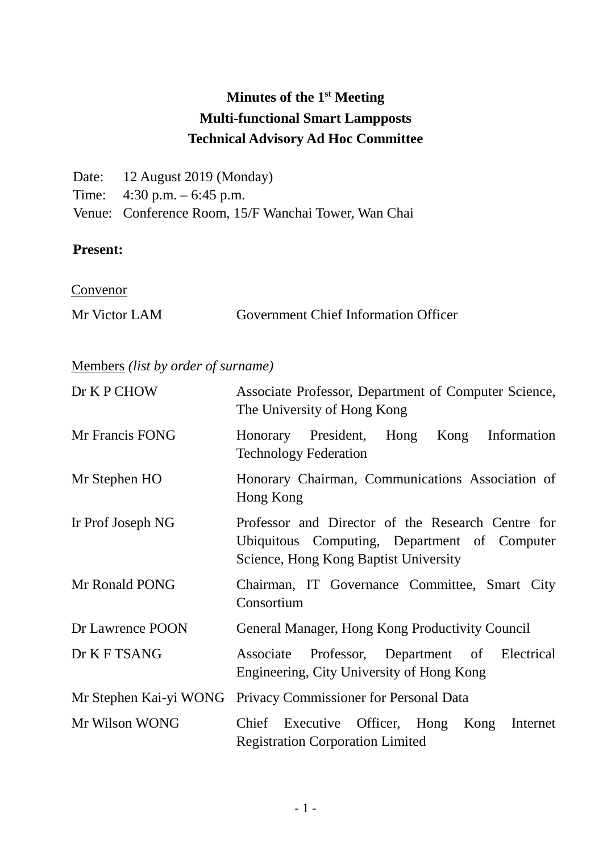# **Minutes of the 1st Meeting Multi-functional Smart Lampposts Technical Advisory Ad Hoc Committee**

| Date: 12 August 2019 (Monday)                        |
|------------------------------------------------------|
| Time: $4:30 \text{ p.m.} - 6:45 \text{ p.m.}$        |
| Venue: Conference Room, 15/F Wanchai Tower, Wan Chai |

### **Present:**

**Convenor** 

# Members *(list by order of surname)*

| Dr K P CHOW       | Associate Professor, Department of Computer Science,<br>The University of Hong Kong                                                        |
|-------------------|--------------------------------------------------------------------------------------------------------------------------------------------|
| Mr Francis FONG   | Honorary President, Hong<br>Information<br>Kong<br><b>Technology Federation</b>                                                            |
| Mr Stephen HO     | Honorary Chairman, Communications Association of<br>Hong Kong                                                                              |
| Ir Prof Joseph NG | Professor and Director of the Research Centre for<br>Ubiquitous Computing, Department of Computer<br>Science, Hong Kong Baptist University |
| Mr Ronald PONG    | Chairman, IT Governance Committee, Smart City<br>Consortium                                                                                |
| Dr Lawrence POON  | General Manager, Hong Kong Productivity Council                                                                                            |
| Dr K F TSANG      | Associate Professor, Department of Electrical<br>Engineering, City University of Hong Kong                                                 |
|                   | Mr Stephen Kai-yi WONG Privacy Commissioner for Personal Data                                                                              |
| Mr Wilson WONG    | Chief Executive Officer, Hong<br>Kong<br>Internet<br><b>Registration Corporation Limited</b>                                               |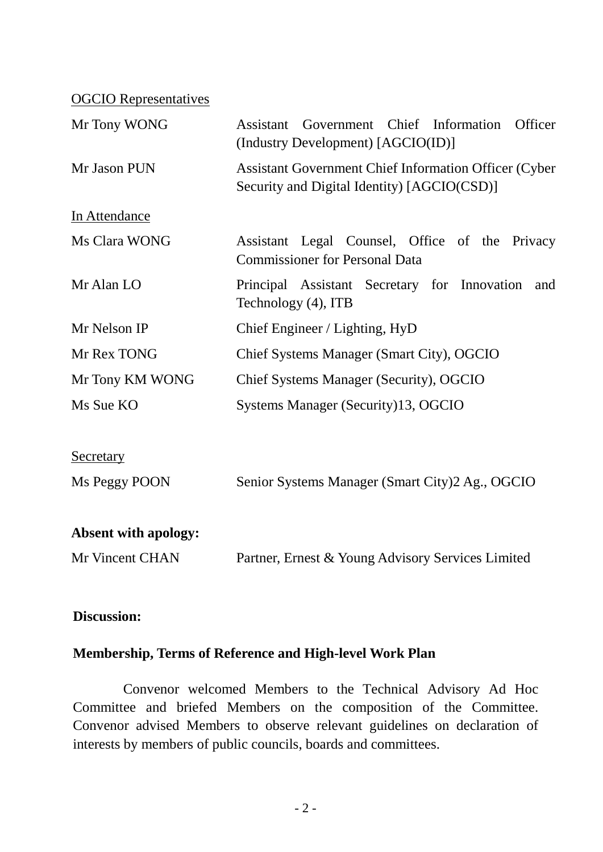OGCIO Representatives

| Mr Tony WONG                | Government Chief Information<br>Officer<br>Assistant<br>(Industry Development) [AGCIO(ID)]                  |  |  |  |
|-----------------------------|-------------------------------------------------------------------------------------------------------------|--|--|--|
| Mr Jason PUN                | <b>Assistant Government Chief Information Officer (Cyber</b><br>Security and Digital Identity) [AGCIO(CSD)] |  |  |  |
| In Attendance               |                                                                                                             |  |  |  |
| Ms Clara WONG               | Assistant Legal Counsel, Office of the Privacy<br><b>Commissioner for Personal Data</b>                     |  |  |  |
| Mr Alan LO                  | Principal Assistant Secretary for Innovation<br>and<br>Technology (4), ITB                                  |  |  |  |
| Mr Nelson IP                | Chief Engineer / Lighting, HyD                                                                              |  |  |  |
| Mr Rex TONG                 | Chief Systems Manager (Smart City), OGCIO                                                                   |  |  |  |
| Mr Tony KM WONG             | Chief Systems Manager (Security), OGCIO                                                                     |  |  |  |
| Ms Sue KO                   | Systems Manager (Security)13, OGCIO                                                                         |  |  |  |
| <u>Secretary</u>            |                                                                                                             |  |  |  |
| Ms Peggy POON               | Senior Systems Manager (Smart City)2 Ag., OGCIO                                                             |  |  |  |
| <b>Absent with apology:</b> |                                                                                                             |  |  |  |
| Mr Vincent CHAN             | Partner, Ernest & Young Advisory Services Limited                                                           |  |  |  |

#### **Discussion:**

### **Membership, Terms of Reference and High-level Work Plan**

Convenor welcomed Members to the Technical Advisory Ad Hoc Committee and briefed Members on the composition of the Committee. Convenor advised Members to observe relevant guidelines on declaration of interests by members of public councils, boards and committees.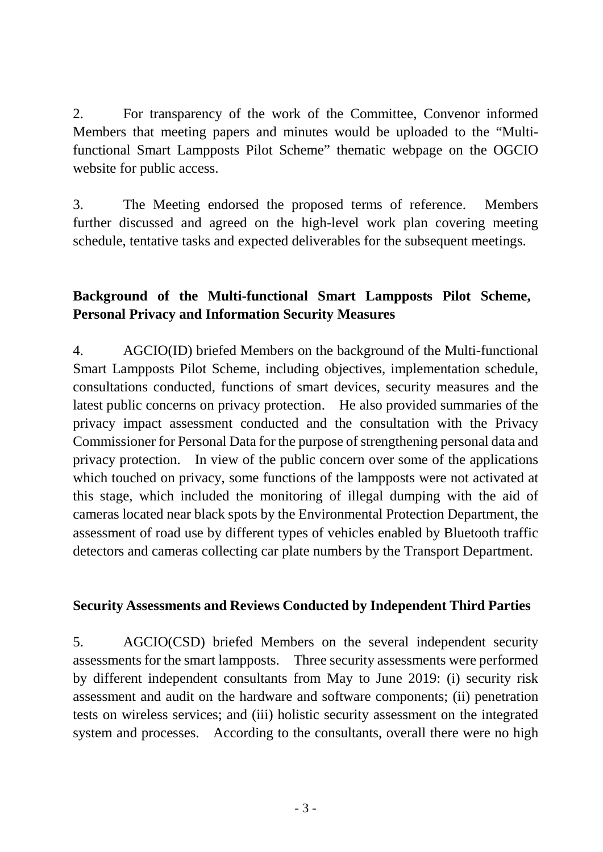2. For transparency of the work of the Committee, Convenor informed Members that meeting papers and minutes would be uploaded to the "Multifunctional Smart Lampposts Pilot Scheme" thematic webpage on the OGCIO website for public access.

3. The Meeting endorsed the proposed terms of reference. Members further discussed and agreed on the high-level work plan covering meeting schedule, tentative tasks and expected deliverables for the subsequent meetings.

# **Background of the Multi-functional Smart Lampposts Pilot Scheme, Personal Privacy and Information Security Measures**

4. AGCIO(ID) briefed Members on the background of the Multi-functional Smart Lampposts Pilot Scheme, including objectives, implementation schedule, consultations conducted, functions of smart devices, security measures and the latest public concerns on privacy protection. He also provided summaries of the privacy impact assessment conducted and the consultation with the Privacy Commissioner for Personal Data for the purpose of strengthening personal data and privacy protection. In view of the public concern over some of the applications which touched on privacy, some functions of the lampposts were not activated at this stage, which included the monitoring of illegal dumping with the aid of cameras located near black spots by the Environmental Protection Department, the assessment of road use by different types of vehicles enabled by Bluetooth traffic detectors and cameras collecting car plate numbers by the Transport Department.

#### **Security Assessments and Reviews Conducted by Independent Third Parties**

5. AGCIO(CSD) briefed Members on the several independent security assessments for the smart lampposts. Three security assessments were performed by different independent consultants from May to June 2019: (i) security risk assessment and audit on the hardware and software components; (ii) penetration tests on wireless services; and (iii) holistic security assessment on the integrated system and processes. According to the consultants, overall there were no high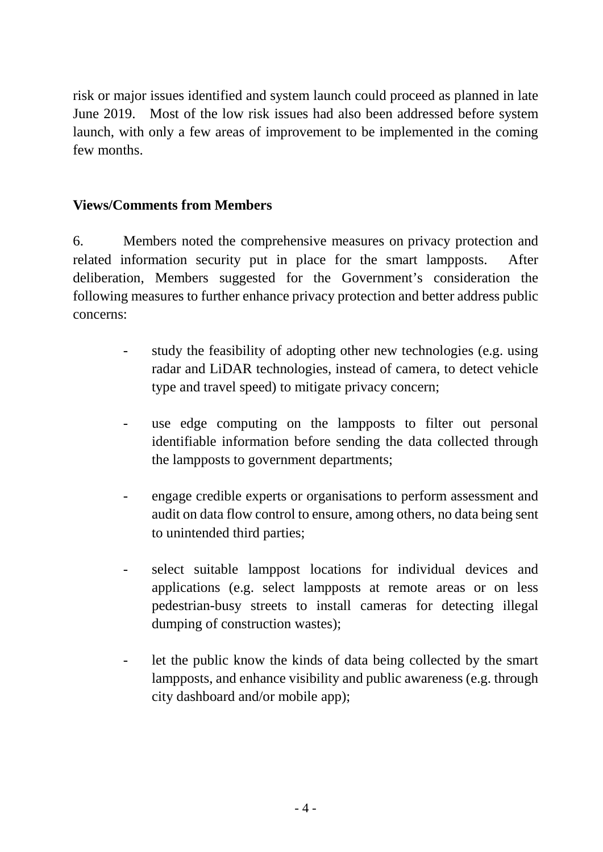risk or major issues identified and system launch could proceed as planned in late June 2019. Most of the low risk issues had also been addressed before system launch, with only a few areas of improvement to be implemented in the coming few months.

### **Views/Comments from Members**

6. Members noted the comprehensive measures on privacy protection and related information security put in place for the smart lampposts. After deliberation, Members suggested for the Government's consideration the following measures to further enhance privacy protection and better address public concerns:

- study the feasibility of adopting other new technologies (e.g. using radar and LiDAR technologies, instead of camera, to detect vehicle type and travel speed) to mitigate privacy concern;
- use edge computing on the lampposts to filter out personal identifiable information before sending the data collected through the lampposts to government departments;
- engage credible experts or organisations to perform assessment and audit on data flow control to ensure, among others, no data being sent to unintended third parties;
- select suitable lamppost locations for individual devices and applications (e.g. select lampposts at remote areas or on less pedestrian-busy streets to install cameras for detecting illegal dumping of construction wastes);
- let the public know the kinds of data being collected by the smart lampposts, and enhance visibility and public awareness (e.g. through city dashboard and/or mobile app);